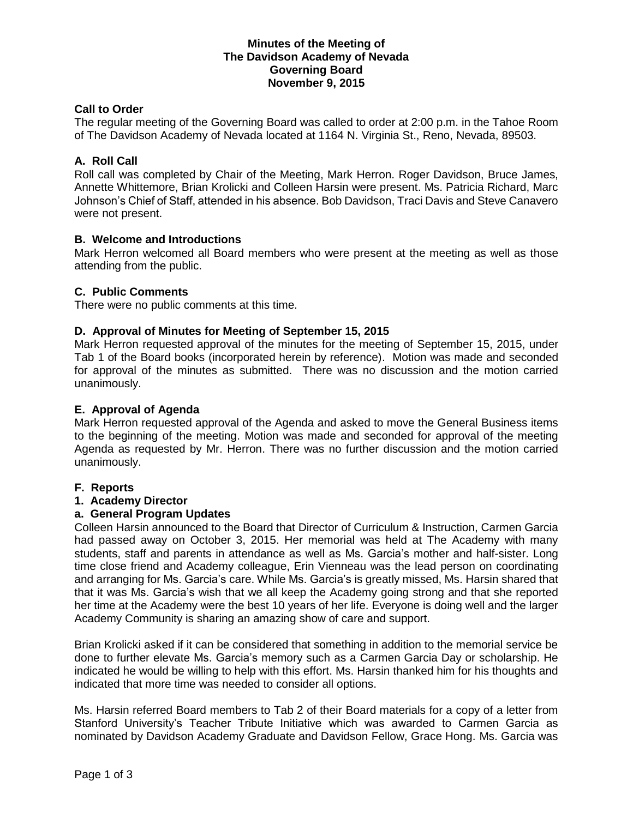## **Minutes of the Meeting of The Davidson Academy of Nevada Governing Board November 9, 2015**

# **Call to Order**

The regular meeting of the Governing Board was called to order at 2:00 p.m. in the Tahoe Room of The Davidson Academy of Nevada located at 1164 N. Virginia St., Reno, Nevada, 89503.

## **A. Roll Call**

Roll call was completed by Chair of the Meeting, Mark Herron. Roger Davidson, Bruce James, Annette Whittemore, Brian Krolicki and Colleen Harsin were present. Ms. Patricia Richard, Marc Johnson's Chief of Staff, attended in his absence. Bob Davidson, Traci Davis and Steve Canavero were not present.

#### **B. Welcome and Introductions**

Mark Herron welcomed all Board members who were present at the meeting as well as those attending from the public.

#### **C. Public Comments**

There were no public comments at this time.

#### **D. Approval of Minutes for Meeting of September 15, 2015**

Mark Herron requested approval of the minutes for the meeting of September 15, 2015, under Tab 1 of the Board books (incorporated herein by reference). Motion was made and seconded for approval of the minutes as submitted. There was no discussion and the motion carried unanimously.

#### **E. Approval of Agenda**

Mark Herron requested approval of the Agenda and asked to move the General Business items to the beginning of the meeting. Motion was made and seconded for approval of the meeting Agenda as requested by Mr. Herron. There was no further discussion and the motion carried unanimously.

#### **F. Reports**

#### **1. Academy Director**

#### **a. General Program Updates**

Colleen Harsin announced to the Board that Director of Curriculum & Instruction, Carmen Garcia had passed away on October 3, 2015. Her memorial was held at The Academy with many students, staff and parents in attendance as well as Ms. Garcia's mother and half-sister. Long time close friend and Academy colleague, Erin Vienneau was the lead person on coordinating and arranging for Ms. Garcia's care. While Ms. Garcia's is greatly missed, Ms. Harsin shared that that it was Ms. Garcia's wish that we all keep the Academy going strong and that she reported her time at the Academy were the best 10 years of her life. Everyone is doing well and the larger Academy Community is sharing an amazing show of care and support.

Brian Krolicki asked if it can be considered that something in addition to the memorial service be done to further elevate Ms. Garcia's memory such as a Carmen Garcia Day or scholarship. He indicated he would be willing to help with this effort. Ms. Harsin thanked him for his thoughts and indicated that more time was needed to consider all options.

Ms. Harsin referred Board members to Tab 2 of their Board materials for a copy of a letter from Stanford University's Teacher Tribute Initiative which was awarded to Carmen Garcia as nominated by Davidson Academy Graduate and Davidson Fellow, Grace Hong. Ms. Garcia was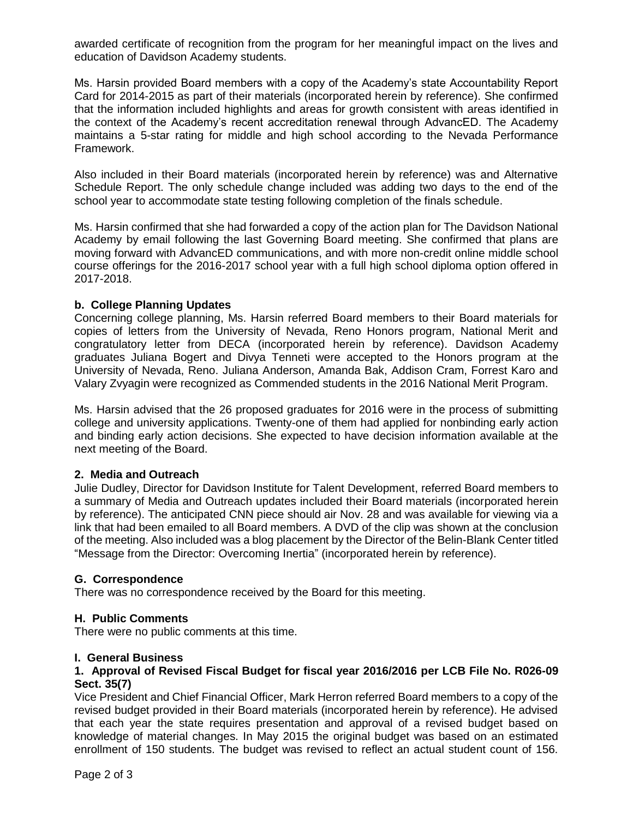awarded certificate of recognition from the program for her meaningful impact on the lives and education of Davidson Academy students.

Ms. Harsin provided Board members with a copy of the Academy's state Accountability Report Card for 2014-2015 as part of their materials (incorporated herein by reference). She confirmed that the information included highlights and areas for growth consistent with areas identified in the context of the Academy's recent accreditation renewal through AdvancED. The Academy maintains a 5-star rating for middle and high school according to the Nevada Performance Framework.

Also included in their Board materials (incorporated herein by reference) was and Alternative Schedule Report. The only schedule change included was adding two days to the end of the school year to accommodate state testing following completion of the finals schedule.

Ms. Harsin confirmed that she had forwarded a copy of the action plan for The Davidson National Academy by email following the last Governing Board meeting. She confirmed that plans are moving forward with AdvancED communications, and with more non-credit online middle school course offerings for the 2016-2017 school year with a full high school diploma option offered in 2017-2018.

## **b. College Planning Updates**

Concerning college planning, Ms. Harsin referred Board members to their Board materials for copies of letters from the University of Nevada, Reno Honors program, National Merit and congratulatory letter from DECA (incorporated herein by reference). Davidson Academy graduates Juliana Bogert and Divya Tenneti were accepted to the Honors program at the University of Nevada, Reno. Juliana Anderson, Amanda Bak, Addison Cram, Forrest Karo and Valary Zvyagin were recognized as Commended students in the 2016 National Merit Program.

Ms. Harsin advised that the 26 proposed graduates for 2016 were in the process of submitting college and university applications. Twenty-one of them had applied for nonbinding early action and binding early action decisions. She expected to have decision information available at the next meeting of the Board.

#### **2. Media and Outreach**

Julie Dudley, Director for Davidson Institute for Talent Development, referred Board members to a summary of Media and Outreach updates included their Board materials (incorporated herein by reference). The anticipated CNN piece should air Nov. 28 and was available for viewing via a link that had been emailed to all Board members. A DVD of the clip was shown at the conclusion of the meeting. Also included was a blog placement by the Director of the Belin-Blank Center titled "Message from the Director: Overcoming Inertia" (incorporated herein by reference).

# **G. Correspondence**

There was no correspondence received by the Board for this meeting.

#### **H. Public Comments**

There were no public comments at this time.

#### **I. General Business**

## **1. Approval of Revised Fiscal Budget for fiscal year 2016/2016 per LCB File No. R026-09 Sect. 35(7)**

Vice President and Chief Financial Officer, Mark Herron referred Board members to a copy of the revised budget provided in their Board materials (incorporated herein by reference). He advised that each year the state requires presentation and approval of a revised budget based on knowledge of material changes. In May 2015 the original budget was based on an estimated enrollment of 150 students. The budget was revised to reflect an actual student count of 156.